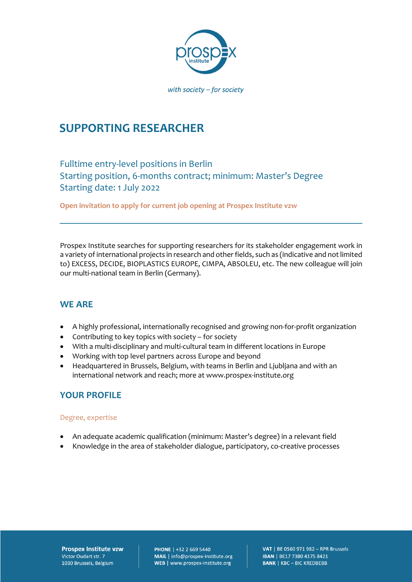

# **SUPPORTING RESEARCHER**

Fulltime entry-level positions in Berlin Starting position, 6-months contract; minimum: Master's Degree Starting date: 1 July 2022

**Open invitation to apply for current job opening at Prospex Institute vzw** 

Prospex Institute searches for supporting researchers for its stakeholder engagement work in a variety of international projects in research and other fields, such as (indicative and not limited to) EXCESS, DECIDE, BIOPLASTICS EUROPE, CIMPA, ABSOLEU, etc. The new colleague will join our multi-national team in Berlin (Germany).

### **WE ARE**

- A highly professional, internationally recognised and growing non-for-profit organization
- Contributing to key topics with society for society
- With a multi-disciplinary and multi-cultural team in different locations in Europe
- Working with top level partners across Europe and beyond
- Headquartered in Brussels, Belgium, with teams in Berlin and Ljubljana and with an international network and reach; more at www.prospex-institute.org

### **YOUR PROFILE**

#### Degree, expertise

- An adequate academic qualification (minimum: Master's degree) in a relevant field
- Knowledge in the area of stakeholder dialogue, participatory, co-creative processes

**Prospex Institute vzw** Victor Oudart str. 7 1030 Brussels, Belgium

**PHONE** | +32 2 669 5440 MAIL | info@prospex-institute.org WEB | www.prospex-institute.org

VAT | BE 0560 971 982 - RPR Brussels IBAN | BE17 7380 4175 8421 **BANK | KBC - BIC KREDBEBB**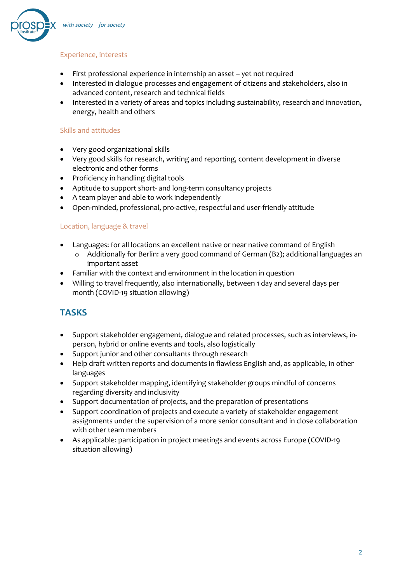

#### Experience, interests

- First professional experience in internship an asset yet not required
- Interested in dialogue processes and engagement of citizens and stakeholders, also in advanced content, research and technical fields
- Interested in a variety of areas and topics including sustainability, research and innovation, energy, health and others

#### Skills and attitudes

- Very good organizational skills
- Very good skills for research, writing and reporting, content development in diverse electronic and other forms
- Proficiency in handling digital tools
- Aptitude to support short- and long-term consultancy projects
- A team player and able to work independently
- Open-minded, professional, pro-active, respectful and user-friendly attitude

#### Location, language & travel

- Languages: for all locations an excellent native or near native command of English
	- o Additionally for Berlin: a very good command of German (B2); additional languages an important asset
- Familiar with the context and environment in the location in question
- Willing to travel frequently, also internationally, between 1 day and several days per month (COVID-19 situation allowing)

### **TASKS**

- Support stakeholder engagement, dialogue and related processes, such as interviews, inperson, hybrid or online events and tools, also logistically
- Support junior and other consultants through research
- Help draft written reports and documents in flawless English and, as applicable, in other languages
- Support stakeholder mapping, identifying stakeholder groups mindful of concerns regarding diversity and inclusivity
- Support documentation of projects, and the preparation of presentations
- Support coordination of projects and execute a variety of stakeholder engagement assignments under the supervision of a more senior consultant and in close collaboration with other team members
- As applicable: participation in project meetings and events across Europe (COVID-19 situation allowing)